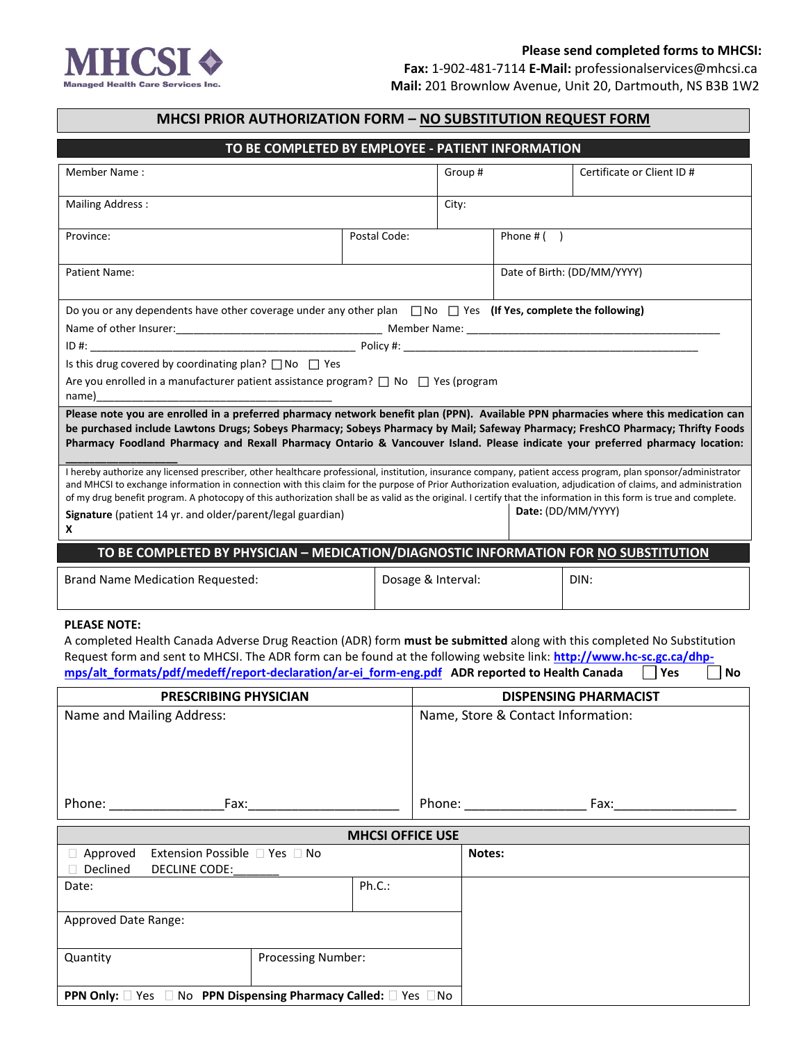

 **Fax:** 1-902-481-7114 **E-Mail:** professionalservices@mhcsi.ca **Mail:** 201 Brownlow Avenue, Unit 20, Dartmouth, NS B3B 1W2

| <b>MHCSI PRIOR AUTHORIZATION FORM - NO SUBSTITUTION REQUEST FORM</b>                                                                                                                                                                                                                                                                                                                                                                                                                                                                                                                                                                                                                                                                                                                                                                                                                                                                                                              |                                                                                                                         |        |                         |                                                                                                                                                                                                                                |                                    |                             |                            |     |    |  |
|-----------------------------------------------------------------------------------------------------------------------------------------------------------------------------------------------------------------------------------------------------------------------------------------------------------------------------------------------------------------------------------------------------------------------------------------------------------------------------------------------------------------------------------------------------------------------------------------------------------------------------------------------------------------------------------------------------------------------------------------------------------------------------------------------------------------------------------------------------------------------------------------------------------------------------------------------------------------------------------|-------------------------------------------------------------------------------------------------------------------------|--------|-------------------------|--------------------------------------------------------------------------------------------------------------------------------------------------------------------------------------------------------------------------------|------------------------------------|-----------------------------|----------------------------|-----|----|--|
|                                                                                                                                                                                                                                                                                                                                                                                                                                                                                                                                                                                                                                                                                                                                                                                                                                                                                                                                                                                   | TO BE COMPLETED BY EMPLOYEE - PATIENT INFORMATION                                                                       |        |                         |                                                                                                                                                                                                                                |                                    |                             |                            |     |    |  |
| Member Name:                                                                                                                                                                                                                                                                                                                                                                                                                                                                                                                                                                                                                                                                                                                                                                                                                                                                                                                                                                      |                                                                                                                         |        |                         |                                                                                                                                                                                                                                | Group #                            |                             | Certificate or Client ID # |     |    |  |
|                                                                                                                                                                                                                                                                                                                                                                                                                                                                                                                                                                                                                                                                                                                                                                                                                                                                                                                                                                                   |                                                                                                                         |        |                         |                                                                                                                                                                                                                                |                                    |                             |                            |     |    |  |
| <b>Mailing Address:</b>                                                                                                                                                                                                                                                                                                                                                                                                                                                                                                                                                                                                                                                                                                                                                                                                                                                                                                                                                           |                                                                                                                         |        |                         |                                                                                                                                                                                                                                | City:                              |                             |                            |     |    |  |
| Province:                                                                                                                                                                                                                                                                                                                                                                                                                                                                                                                                                                                                                                                                                                                                                                                                                                                                                                                                                                         |                                                                                                                         |        | Postal Code:            |                                                                                                                                                                                                                                |                                    | Phone $#( )$                |                            |     |    |  |
| Patient Name:                                                                                                                                                                                                                                                                                                                                                                                                                                                                                                                                                                                                                                                                                                                                                                                                                                                                                                                                                                     |                                                                                                                         |        |                         |                                                                                                                                                                                                                                |                                    | Date of Birth: (DD/MM/YYYY) |                            |     |    |  |
|                                                                                                                                                                                                                                                                                                                                                                                                                                                                                                                                                                                                                                                                                                                                                                                                                                                                                                                                                                                   |                                                                                                                         |        |                         |                                                                                                                                                                                                                                |                                    |                             |                            |     |    |  |
|                                                                                                                                                                                                                                                                                                                                                                                                                                                                                                                                                                                                                                                                                                                                                                                                                                                                                                                                                                                   | Do you or any dependents have other coverage under any other plan $\Box$ No $\Box$ Yes (If Yes, complete the following) |        |                         |                                                                                                                                                                                                                                |                                    |                             |                            |     |    |  |
|                                                                                                                                                                                                                                                                                                                                                                                                                                                                                                                                                                                                                                                                                                                                                                                                                                                                                                                                                                                   |                                                                                                                         |        |                         |                                                                                                                                                                                                                                |                                    |                             |                            |     |    |  |
| Is this drug covered by coordinating plan? $\Box$ No $\Box$ Yes                                                                                                                                                                                                                                                                                                                                                                                                                                                                                                                                                                                                                                                                                                                                                                                                                                                                                                                   |                                                                                                                         |        |                         |                                                                                                                                                                                                                                |                                    |                             |                            |     |    |  |
| Are you enrolled in a manufacturer patient assistance program? $\Box$ No $\Box$ Yes (program<br>name)                                                                                                                                                                                                                                                                                                                                                                                                                                                                                                                                                                                                                                                                                                                                                                                                                                                                             |                                                                                                                         |        |                         |                                                                                                                                                                                                                                |                                    |                             |                            |     |    |  |
| Please note you are enrolled in a preferred pharmacy network benefit plan (PPN). Available PPN pharmacies where this medication can<br>be purchased include Lawtons Drugs; Sobeys Pharmacy; Sobeys Pharmacy by Mail; Safeway Pharmacy; FreshCO Pharmacy; Thrifty Foods<br>Pharmacy Foodland Pharmacy and Rexall Pharmacy Ontario & Vancouver Island. Please indicate your preferred pharmacy location:<br>I hereby authorize any licensed prescriber, other healthcare professional, institution, insurance company, patient access program, plan sponsor/administrator<br>and MHCSI to exchange information in connection with this claim for the purpose of Prior Authorization evaluation, adjudication of claims, and administration<br>of my drug benefit program. A photocopy of this authorization shall be as valid as the original. I certify that the information in this form is true and complete.<br>Signature (patient 14 yr. and older/parent/legal guardian)<br>x |                                                                                                                         |        |                         |                                                                                                                                                                                                                                |                                    |                             | Date: (DD/MM/YYYY)         |     |    |  |
| TO BE COMPLETED BY PHYSICIAN - MEDICATION/DIAGNOSTIC INFORMATION FOR NO SUBSTITUTION                                                                                                                                                                                                                                                                                                                                                                                                                                                                                                                                                                                                                                                                                                                                                                                                                                                                                              |                                                                                                                         |        |                         |                                                                                                                                                                                                                                |                                    |                             |                            |     |    |  |
| <b>Brand Name Medication Requested:</b>                                                                                                                                                                                                                                                                                                                                                                                                                                                                                                                                                                                                                                                                                                                                                                                                                                                                                                                                           |                                                                                                                         |        |                         | Dosage & Interval:                                                                                                                                                                                                             |                                    |                             | DIN:                       |     |    |  |
| <b>PLEASE NOTE:</b><br>A completed Health Canada Adverse Drug Reaction (ADR) form must be submitted along with this completed No Substitution<br>Request form and sent to MHCSI. The ADR form can be found at the following website link: http://www.hc-sc.gc.ca/dhp-<br>mps/alt formats/pdf/medeff/report-declaration/ar-ei form-eng.pdf ADR reported to Health Canada                                                                                                                                                                                                                                                                                                                                                                                                                                                                                                                                                                                                           |                                                                                                                         |        |                         |                                                                                                                                                                                                                                |                                    |                             |                            | Yes | No |  |
| <b>PRESCRIBING PHYSICIAN</b>                                                                                                                                                                                                                                                                                                                                                                                                                                                                                                                                                                                                                                                                                                                                                                                                                                                                                                                                                      |                                                                                                                         |        |                         | <b>DISPENSING PHARMACIST</b>                                                                                                                                                                                                   |                                    |                             |                            |     |    |  |
| Name and Mailing Address:                                                                                                                                                                                                                                                                                                                                                                                                                                                                                                                                                                                                                                                                                                                                                                                                                                                                                                                                                         |                                                                                                                         |        |                         |                                                                                                                                                                                                                                | Name, Store & Contact Information: |                             |                            |     |    |  |
| Phone: National Phone: National Phone: National Phone: National Phone: National Phone: National Phone: National Phone: National Phone: National Phone: National Phone: National Phone: National Phone: National Phone: Nationa<br>Fax: and the state of the state of the state of the state of the state of the state of the state of the state o                                                                                                                                                                                                                                                                                                                                                                                                                                                                                                                                                                                                                                 |                                                                                                                         |        |                         | Phone: National Phone: National Phone: National Phone: National Phone: National Phone: National Phone: National Phone: National Phone: National Phone: National Phone: National Phone: National Phone: National Phone: Nationa |                                    |                             | Fax:                       |     |    |  |
|                                                                                                                                                                                                                                                                                                                                                                                                                                                                                                                                                                                                                                                                                                                                                                                                                                                                                                                                                                                   |                                                                                                                         |        | <b>MHCSI OFFICE USE</b> |                                                                                                                                                                                                                                |                                    |                             |                            |     |    |  |
| Extension Possible □ Yes □ No<br>$\Box$ Approved<br>Declined<br>DECLINE CODE:                                                                                                                                                                                                                                                                                                                                                                                                                                                                                                                                                                                                                                                                                                                                                                                                                                                                                                     |                                                                                                                         |        |                         |                                                                                                                                                                                                                                | Notes:                             |                             |                            |     |    |  |
| Date:                                                                                                                                                                                                                                                                                                                                                                                                                                                                                                                                                                                                                                                                                                                                                                                                                                                                                                                                                                             |                                                                                                                         | Ph.C.: |                         |                                                                                                                                                                                                                                |                                    |                             |                            |     |    |  |
| Approved Date Range:                                                                                                                                                                                                                                                                                                                                                                                                                                                                                                                                                                                                                                                                                                                                                                                                                                                                                                                                                              |                                                                                                                         |        |                         |                                                                                                                                                                                                                                |                                    |                             |                            |     |    |  |
| <b>Processing Number:</b><br>Quantity                                                                                                                                                                                                                                                                                                                                                                                                                                                                                                                                                                                                                                                                                                                                                                                                                                                                                                                                             |                                                                                                                         |        |                         |                                                                                                                                                                                                                                |                                    |                             |                            |     |    |  |
| PPN Only: □ Yes □ No PPN Dispensing Pharmacy Called: □ Yes □ No                                                                                                                                                                                                                                                                                                                                                                                                                                                                                                                                                                                                                                                                                                                                                                                                                                                                                                                   |                                                                                                                         |        |                         |                                                                                                                                                                                                                                |                                    |                             |                            |     |    |  |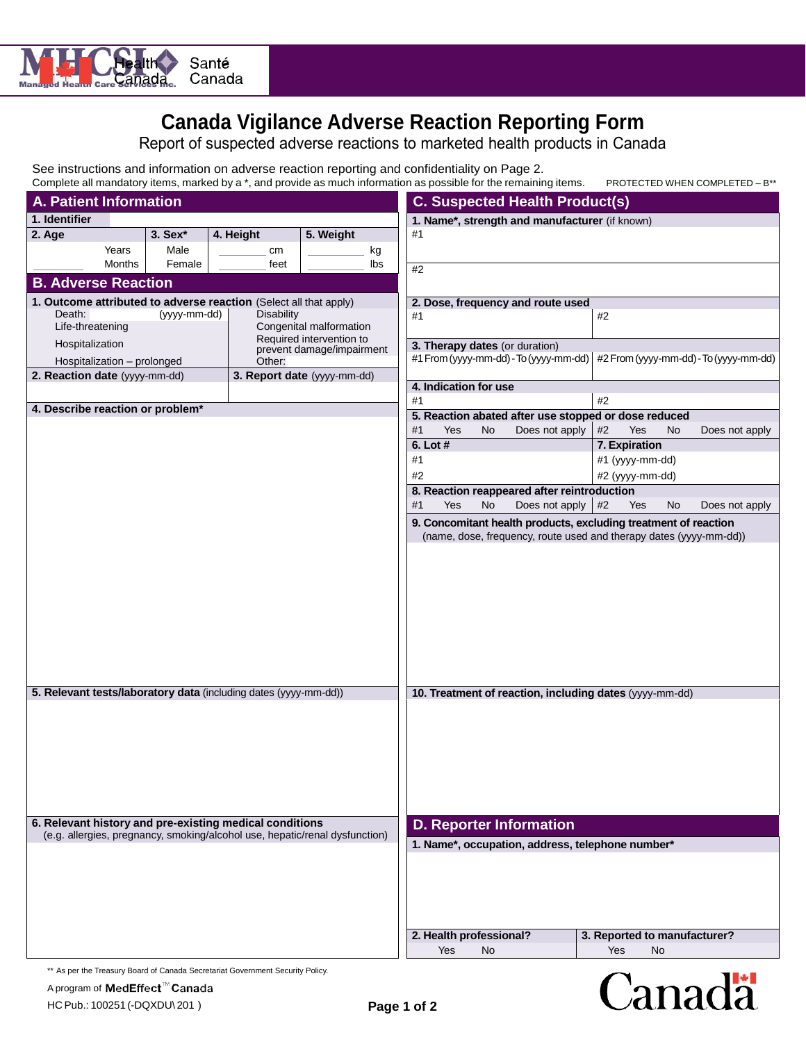

# **Canada Vigilance Adverse Reaction Reporting Form**

Report of suspected adverse reactions to marketed health products in Canada

See instructions and information on adverse reaction reporting and confidentiality on Page 2.

| Complete all mandatory items, marked by a *, and provide as much information as possible for the remaining items. | PROTECTED WHEN COMPLETED - B** |
|-------------------------------------------------------------------------------------------------------------------|--------------------------------|
|-------------------------------------------------------------------------------------------------------------------|--------------------------------|

| <b>A. Patient Information</b>                                               |        |              |                                                                   | <b>C. Suspected Health Product(s)</b>                   |                                |           |                                                                    |                              |    |                                        |
|-----------------------------------------------------------------------------|--------|--------------|-------------------------------------------------------------------|---------------------------------------------------------|--------------------------------|-----------|--------------------------------------------------------------------|------------------------------|----|----------------------------------------|
| 1. Identifier                                                               |        |              |                                                                   | 1. Name*, strength and manufacturer (if known)          |                                |           |                                                                    |                              |    |                                        |
| 2. Age                                                                      |        | 3. Sex*      | 4. Height                                                         | 5. Weight                                               | #1                             |           |                                                                    |                              |    |                                        |
|                                                                             | Years  | Male         | cm                                                                | kg                                                      |                                |           |                                                                    |                              |    |                                        |
|                                                                             | Months | Female       | feet                                                              | lbs                                                     | #2                             |           |                                                                    |                              |    |                                        |
| <b>B. Adverse Reaction</b>                                                  |        |              |                                                                   |                                                         |                                |           |                                                                    |                              |    |                                        |
|                                                                             |        |              | 1. Outcome attributed to adverse reaction (Select all that apply) |                                                         |                                |           | 2. Dose, frequency and route used                                  |                              |    |                                        |
| Death:                                                                      |        | (yyyy-mm-dd) | <b>Disability</b>                                                 |                                                         | #1                             |           |                                                                    | $#2$                         |    |                                        |
| Life-threatening                                                            |        |              |                                                                   | Congenital malformation<br>Required intervention to     |                                |           |                                                                    |                              |    |                                        |
| Hospitalization                                                             |        |              |                                                                   | prevent damage/impairment                               | 3. Therapy dates (or duration) |           |                                                                    |                              |    |                                        |
| Hospitalization - prolonged                                                 |        |              | Other:                                                            |                                                         |                                |           | #1 From (yyyy-mm-dd) - To (yyyy-mm-dd)                             |                              |    | #2 From (yyyy-mm-dd) - To (yyyy-mm-dd) |
| 2. Reaction date (yyyy-mm-dd)                                               |        |              |                                                                   | 3. Report date (yyyy-mm-dd)                             | 4. Indication for use          |           |                                                                    |                              |    |                                        |
|                                                                             |        |              |                                                                   |                                                         | #1                             |           |                                                                    | $\#2$                        |    |                                        |
| 4. Describe reaction or problem*                                            |        |              |                                                                   |                                                         |                                |           | 5. Reaction abated after use stopped or dose reduced               |                              |    |                                        |
|                                                                             |        |              |                                                                   |                                                         | <b>Yes</b><br>#1               | No        | Does not apply                                                     | Yes<br>#2                    | No | Does not apply                         |
|                                                                             |        |              |                                                                   |                                                         | 6. Lot #                       |           |                                                                    | 7. Expiration                |    |                                        |
|                                                                             |        |              |                                                                   |                                                         | #1                             |           |                                                                    | #1 (yyyy-mm-dd)              |    |                                        |
|                                                                             |        |              |                                                                   |                                                         | #2                             |           |                                                                    | #2 (yyyy-mm-dd)              |    |                                        |
|                                                                             |        |              |                                                                   |                                                         |                                |           | 8. Reaction reappeared after reintroduction                        |                              |    |                                        |
|                                                                             |        |              |                                                                   |                                                         | Yes<br>#1                      | <b>No</b> | Does not apply                                                     | #2<br>Yes                    | No | Does not apply                         |
|                                                                             |        |              |                                                                   |                                                         |                                |           | 9. Concomitant health products, excluding treatment of reaction    |                              |    |                                        |
|                                                                             |        |              |                                                                   |                                                         |                                |           | (name, dose, frequency, route used and therapy dates (yyyy-mm-dd)) |                              |    |                                        |
|                                                                             |        |              |                                                                   |                                                         |                                |           |                                                                    |                              |    |                                        |
| 5. Relevant tests/laboratory data (including dates (yyyy-mm-dd))            |        |              |                                                                   | 10. Treatment of reaction, including dates (yyyy-mm-dd) |                                |           |                                                                    |                              |    |                                        |
|                                                                             |        |              |                                                                   |                                                         |                                |           |                                                                    |                              |    |                                        |
| 6. Relevant history and pre-existing medical conditions                     |        |              |                                                                   |                                                         |                                |           | <b>D. Reporter Information</b>                                     |                              |    |                                        |
| (e.g. allergies, pregnancy, smoking/alcohol use, hepatic/renal dysfunction) |        |              |                                                                   |                                                         |                                |           | 1. Name*, occupation, address, telephone number*                   |                              |    |                                        |
|                                                                             |        |              |                                                                   |                                                         |                                |           |                                                                    |                              |    |                                        |
|                                                                             |        |              |                                                                   |                                                         | 2. Health professional?        |           |                                                                    | 3. Reported to manufacturer? |    |                                        |
|                                                                             |        |              |                                                                   |                                                         | Yes                            | No        |                                                                    | Yes                          | No |                                        |
|                                                                             |        |              |                                                                   |                                                         |                                |           |                                                                    |                              |    |                                        |

\*\* As per the Treasury Board of Canada Secretariat Government Security Policy.

Canadä